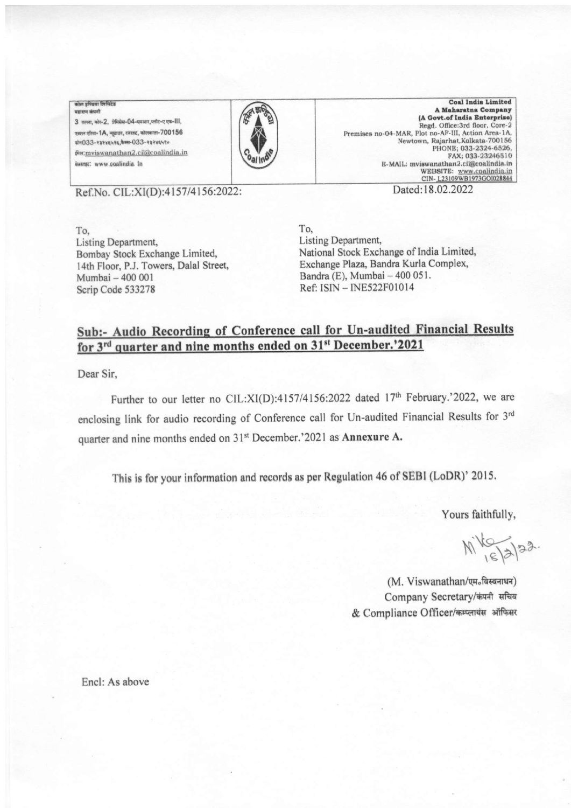## कोल इण्डिया लिमिटेड महाराज कंपनी

3 तल्ला, कोर-2, प्रेमिसेस-04-एमआर,प्लॉट-ए एफ-III, एक्शन एरिया-1A, न्यूटाउन, रजरहट, कोलकाता- $700156$  $\pi$ 17033-rarxsurs,  $\frac{1}{2}$ . 133-rarxsuro शिल: mviswanathan2.cil@coalindia.in iwersz: www.coalindia. In



Coal India Limited<br>A Maharatna Company (A Govt.of India Enterprise) Regd. Office:3rd floor, Core-2 Premises no-04-MAR, Plot no-AF-III, Action Area-1A, Newtown, Rajarhat, Kolkata-700156 PHONE; 033-2324-6526, 1033-2324651<br>E-MAIL: mviswanathan2.cil@coalindia.in

Ref.No. CIL:XI(D):4157/4156:2022:

Dated:18.02.2022

To, Listing Department Bombay Stock Exchange Limited, 14th Floor, P.J. Towers, Dalal Street, Mumbai - 400 001 Scrip Code 533278

To, Listing Department, National Stock Exchange of India Limited, Exchange Plaza, Bandra Kurla Complex, Bandra (E), Mumbai - 400 051. Ref: ISN - INE522F0I0l4

## Sub:- Audio Recording of Conference call for Un-audited Financial Results for 3<sup>rd</sup> quarter and nine months ended on 31<sup>st</sup> December.'2021

Dear Sir,

Further to our letter no CIL:XI(D):4157/4156:2022 dated  $17<sup>th</sup>$  February.'2022, we are enclosing link for audio recording of Conference call for Un-audited Financial Results for 3rd quarter and nine months ended on 31<sup>st</sup> December.'2021 as Annexure A.

This is for your information and records as per Regulation 46 of SEBI (LoDR)' 2015.

Yours faithfully,

 $Mk_{s}^{1/2}$ 

(M. Viswanathan/एम.बिस्बनाथन) Company Secretary/कंपनी सचिव & Compliance Officer/कम्प्लायंस ऑफिसर

Encl: As above